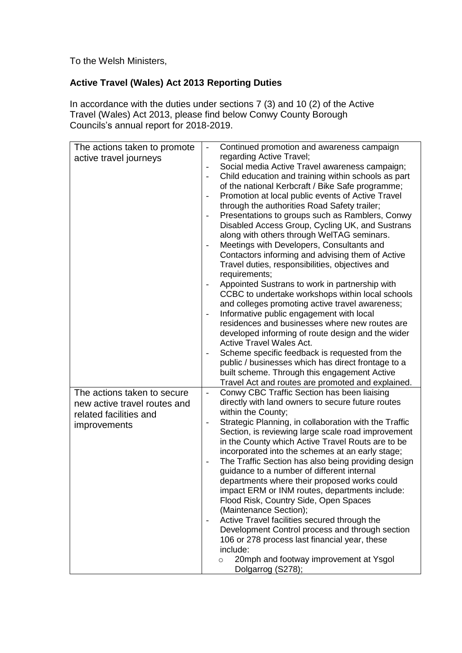To the Welsh Ministers,

## **Active Travel (Wales) Act 2013 Reporting Duties**

In accordance with the duties under sections 7 (3) and 10 (2) of the Active Travel (Wales) Act 2013, please find below Conwy County Borough Councils's annual report for 2018-2019.

| The actions taken to promote<br>active travel journeys | Continued promotion and awareness campaign<br>regarding Active Travel;                                                             |
|--------------------------------------------------------|------------------------------------------------------------------------------------------------------------------------------------|
|                                                        | Social media Active Travel awareness campaign;<br>$\overline{\phantom{0}}$                                                         |
|                                                        | Child education and training within schools as part<br>$\qquad \qquad \blacksquare$                                                |
|                                                        | of the national Kerbcraft / Bike Safe programme;                                                                                   |
|                                                        | Promotion at local public events of Active Travel<br>$\overline{\phantom{a}}$                                                      |
|                                                        | through the authorities Road Safety trailer;                                                                                       |
|                                                        | Presentations to groups such as Ramblers, Conwy<br>$\qquad \qquad \blacksquare$<br>Disabled Access Group, Cycling UK, and Sustrans |
|                                                        | along with others through WelTAG seminars.                                                                                         |
|                                                        | Meetings with Developers, Consultants and                                                                                          |
|                                                        | Contactors informing and advising them of Active                                                                                   |
|                                                        | Travel duties, responsibilities, objectives and                                                                                    |
|                                                        | requirements;                                                                                                                      |
|                                                        | Appointed Sustrans to work in partnership with<br>$\overline{\phantom{0}}$                                                         |
|                                                        | CCBC to undertake workshops within local schools<br>and colleges promoting active travel awareness;                                |
|                                                        | Informative public engagement with local<br>$\overline{\phantom{0}}$                                                               |
|                                                        | residences and businesses where new routes are                                                                                     |
|                                                        | developed informing of route design and the wider                                                                                  |
|                                                        | <b>Active Travel Wales Act.</b>                                                                                                    |
|                                                        | Scheme specific feedback is requested from the<br>$\qquad \qquad -$                                                                |
|                                                        | public / businesses which has direct frontage to a                                                                                 |
|                                                        | built scheme. Through this engagement Active                                                                                       |
|                                                        | Travel Act and routes are promoted and explained.                                                                                  |
| The actions taken to secure                            | Conwy CBC Traffic Section has been liaising<br>$\blacksquare$<br>directly with land owners to secure future routes                 |
| new active travel routes and<br>related facilities and | within the County;                                                                                                                 |
|                                                        | Strategic Planning, in collaboration with the Traffic<br>$\overline{\phantom{0}}$                                                  |
| improvements                                           | Section, is reviewing large scale road improvement                                                                                 |
|                                                        | in the County which Active Travel Routs are to be                                                                                  |
|                                                        | incorporated into the schemes at an early stage;                                                                                   |
|                                                        | The Traffic Section has also being providing design<br>$\overline{\phantom{a}}$                                                    |
|                                                        | guidance to a number of different internal                                                                                         |
|                                                        | departments where their proposed works could                                                                                       |
|                                                        | impact ERM or INM routes, departments include:<br>Flood Risk, Country Side, Open Spaces                                            |
|                                                        | (Maintenance Section);                                                                                                             |
|                                                        | Active Travel facilities secured through the<br>$\qquad \qquad -$                                                                  |
|                                                        | Development Control process and through section                                                                                    |
|                                                        | 106 or 278 process last financial year, these                                                                                      |
|                                                        | include:                                                                                                                           |
|                                                        | 20mph and footway improvement at Ysgol<br>$\circ$                                                                                  |
|                                                        | Dolgarrog (S278);                                                                                                                  |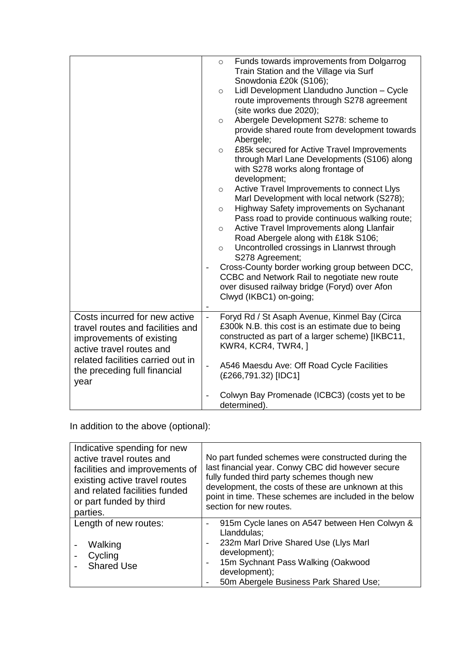|                                                                                          | $\circ$        | Funds towards improvements from Dolgarrog<br>Train Station and the Village via Surf                                                                          |
|------------------------------------------------------------------------------------------|----------------|--------------------------------------------------------------------------------------------------------------------------------------------------------------|
|                                                                                          |                | Snowdonia £20k (S106);                                                                                                                                       |
|                                                                                          | $\circ$        | Lidl Development Llandudno Junction - Cycle<br>route improvements through S278 agreement<br>(site works due 2020);                                           |
|                                                                                          | $\circ$        | Abergele Development S278: scheme to<br>provide shared route from development towards                                                                        |
|                                                                                          | $\circ$        | Abergele;<br>£85k secured for Active Travel Improvements<br>through Marl Lane Developments (S106) along<br>with S278 works along frontage of<br>development; |
|                                                                                          | $\circ$        | Active Travel Improvements to connect Llys<br>Marl Development with local network (S278);                                                                    |
|                                                                                          | $\circ$        | Highway Safety improvements on Sychanant<br>Pass road to provide continuous walking route;                                                                   |
|                                                                                          | $\circ$        | Active Travel Improvements along Llanfair<br>Road Abergele along with £18k S106;                                                                             |
|                                                                                          | $\circ$        | Uncontrolled crossings in Llanrwst through                                                                                                                   |
|                                                                                          |                | S278 Agreement;<br>Cross-County border working group between DCC,                                                                                            |
|                                                                                          |                | CCBC and Network Rail to negotiate new route                                                                                                                 |
|                                                                                          |                | over disused railway bridge (Foryd) over Afon<br>Clwyd (IKBC1) on-going;                                                                                     |
| Costs incurred for new active                                                            | $\overline{a}$ | Foryd Rd / St Asaph Avenue, Kinmel Bay (Circa                                                                                                                |
| travel routes and facilities and<br>improvements of existing<br>active travel routes and |                | £300k N.B. this cost is an estimate due to being<br>constructed as part of a larger scheme) [IKBC11,<br>KWR4, KCR4, TWR4, 1                                  |
| related facilities carried out in<br>the preceding full financial<br>year                | $\overline{a}$ | A546 Maesdu Ave: Off Road Cycle Facilities<br>(£266,791.32) [IDC1]                                                                                           |
|                                                                                          |                | Colwyn Bay Promenade (ICBC3) (costs yet to be<br>determined).                                                                                                |

In addition to the above (optional):

| Indicative spending for new<br>active travel routes and<br>facilities and improvements of<br>existing active travel routes<br>and related facilities funded<br>or part funded by third<br>parties. | No part funded schemes were constructed during the<br>last financial year. Conwy CBC did however secure<br>fully funded third party schemes though new<br>development, the costs of these are unknown at this<br>point in time. These schemes are included in the below<br>section for new routes. |
|----------------------------------------------------------------------------------------------------------------------------------------------------------------------------------------------------|----------------------------------------------------------------------------------------------------------------------------------------------------------------------------------------------------------------------------------------------------------------------------------------------------|
| Length of new routes:<br>Walking<br>Cycling<br><b>Shared Use</b>                                                                                                                                   | 915m Cycle lanes on A547 between Hen Colwyn &<br>Llanddulas:<br>232m Marl Drive Shared Use (Llys Marl<br>development);<br>15m Sychnant Pass Walking (Oakwood<br>$\overline{\phantom{a}}$<br>development);<br>50m Abergele Business Park Shared Use;                                                |